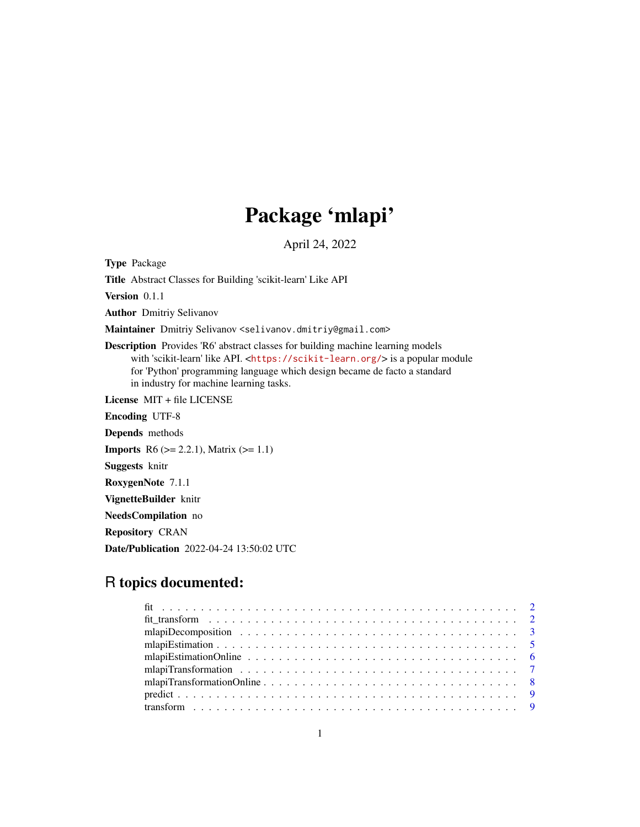# Package 'mlapi'

April 24, 2022

Type Package Title Abstract Classes for Building 'scikit-learn' Like API Version 0.1.1 Author Dmitriy Selivanov Maintainer Dmitriy Selivanov <selivanov.dmitriy@gmail.com> Description Provides 'R6' abstract classes for building machine learning models with 'scikit-learn' like API. <<https://scikit-learn.org/>> is a popular module for 'Python' programming language which design became de facto a standard in industry for machine learning tasks. License MIT + file LICENSE Encoding UTF-8 Depends methods **Imports** R6 ( $>= 2.2.1$ ), Matrix ( $>= 1.1$ ) Suggests knitr RoxygenNote 7.1.1 VignetteBuilder knitr NeedsCompilation no Repository CRAN

Date/Publication 2022-04-24 13:50:02 UTC

## R topics documented: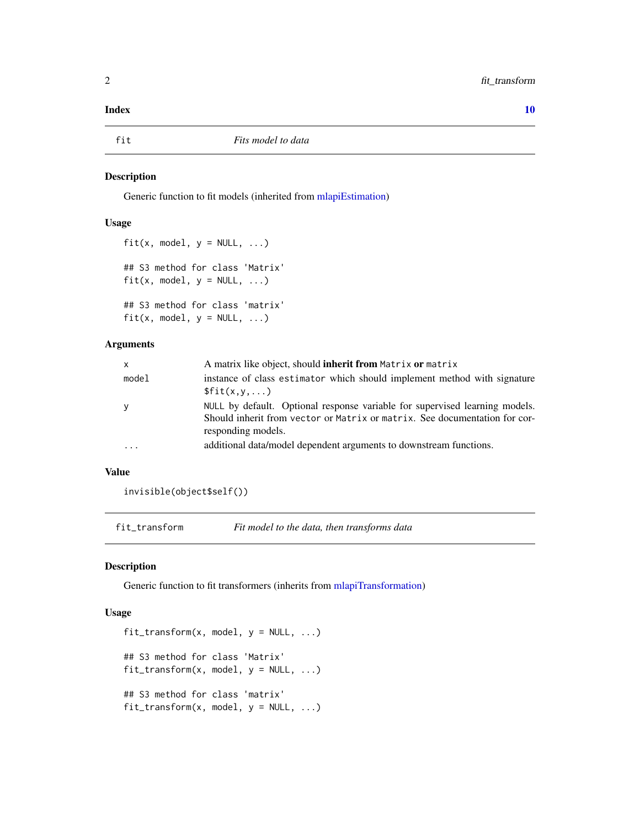#### <span id="page-1-0"></span> $\blacksquare$

#### Description

Generic function to fit models (inherited from [mlapiEstimation\)](#page-4-1)

#### Usage

```
fit(x, model, y = NULL, ...)
## S3 method for class 'Matrix'
fit(x, model, y = NULL, ...)## S3 method for class 'matrix'
fit(x, model, y = NULL, ...)
```
#### Arguments

| x     | A matrix like object, should <b>inherit from</b> Matrix <b>or</b> matrix                                                                                                        |
|-------|---------------------------------------------------------------------------------------------------------------------------------------------------------------------------------|
| model | instance of class estimator which should implement method with signature<br>\$fit(x,y,)                                                                                         |
|       | NULL by default. Optional response variable for supervised learning models.<br>Should inherit from vector or Matrix or matrix. See documentation for cor-<br>responding models. |
|       | additional data/model dependent arguments to downstream functions.                                                                                                              |

#### Value

invisible(object\$self())

fit\_transform *Fit model to the data, then transforms data*

#### Description

Generic function to fit transformers (inherits from [mlapiTransformation\)](#page-6-1)

#### Usage

```
fit\_transform(x, model, y = NULL, ...)## S3 method for class 'Matrix'
fit_{transform}(x, model, y = NULL, ...)## S3 method for class 'matrix'
fit_{transform}(x, model, y = NULL, ...)
```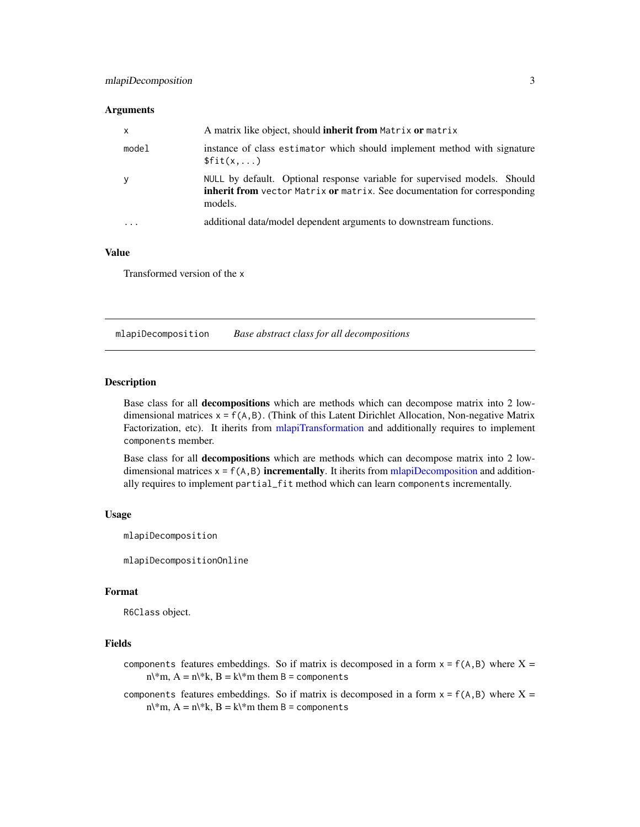#### <span id="page-2-0"></span>Arguments

| $\mathsf{x}$ | A matrix like object, should inherit from Matrix or matrix                                                                                                               |
|--------------|--------------------------------------------------------------------------------------------------------------------------------------------------------------------------|
| model        | instance of class estimator which should implement method with signature<br>\$fit(x,)                                                                                    |
| У            | NULL by default. Optional response variable for supervised models. Should<br><b>inherit from</b> vector Matrix or matrix. See documentation for corresponding<br>models. |
|              | additional data/model dependent arguments to downstream functions.                                                                                                       |

### Value

Transformed version of the x

<span id="page-2-1"></span>mlapiDecomposition *Base abstract class for all decompositions*

#### Description

Base class for all decompositions which are methods which can decompose matrix into 2 lowdimensional matrices  $x = f(A, B)$ . (Think of this Latent Dirichlet Allocation, Non-negative Matrix Factorization, etc). It iherits from [mlapiTransformation](#page-6-1) and additionally requires to implement components member.

Base class for all decompositions which are methods which can decompose matrix into 2 lowdimensional matrices  $x = f(A, B)$  incrementally. It iherits from [mlapiDecomposition](#page-2-1) and additionally requires to implement partial\_fit method which can learn components incrementally.

#### Usage

mlapiDecomposition

mlapiDecompositionOnline

#### Format

R6Class object.

#### Fields

components features embeddings. So if matrix is decomposed in a form  $x = f(A,B)$  where  $X =$  $n\$ \*m,  $A = n\$ \*k,  $B = k\$ \*m them  $B =$  components

components features embeddings. So if matrix is decomposed in a form  $x = f(A, B)$  where  $X =$  $n\$ \*m, A = n\\*k, B = k\\*m them B = components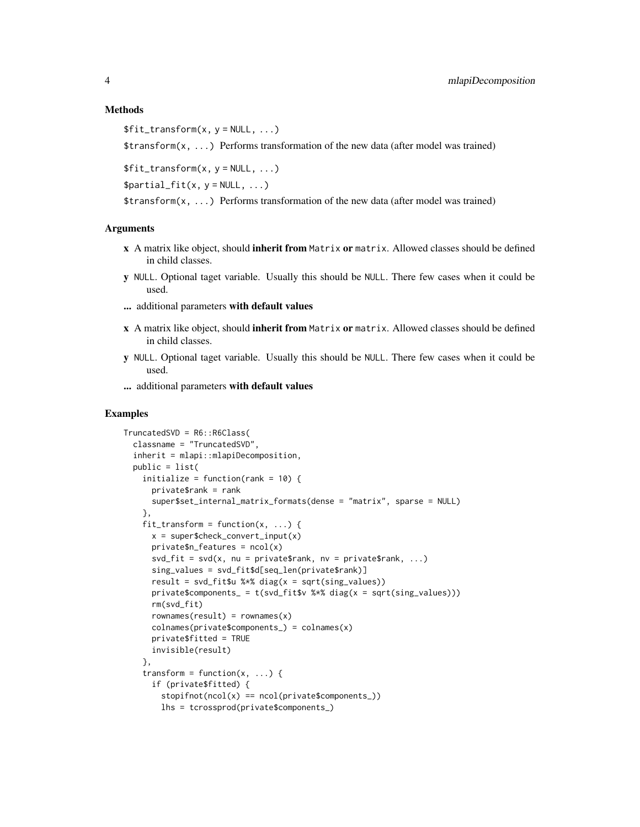#### Methods

```
$fit_transform(x, y = NULL, ...)
```
 $\frac{\pi}{2}$  transform $(x, \ldots)$  Performs transformation of the new data (after model was trained)

 $$fit_transform(x, y = NULL, ...)$ 

 $$partial_fit(x, y = NULL, ...)$ 

 $\frac{\pi}{3}$  transform(x, ...) Performs transformation of the new data (after model was trained)

#### Arguments

- x A matrix like object, should inherit from Matrix or matrix. Allowed classes should be defined in child classes.
- y NULL. Optional taget variable. Usually this should be NULL. There few cases when it could be used.
- ... additional parameters with default values
- x A matrix like object, should inherit from Matrix or matrix. Allowed classes should be defined in child classes.
- y NULL. Optional taget variable. Usually this should be NULL. There few cases when it could be used.
- ... additional parameters with default values

#### Examples

```
TruncatedSVD = R6::R6Class(
 classname = "TruncatedSVD",
 inherit = mlapi::mlapiDecomposition,
 public = list(
   initialize = function(rank = 10) {
     private$rank = rank
     super$set_internal_matrix_formats(dense = "matrix", sparse = NULL)
   },
   fit\_transform = function(x, ...)x = super\private$n_features = ncol(x)svd_fit = svd(x, nu = private$rank, nv = private$rank, ...)sing_values = svd_fit$d[seq_len(private$rank)]
     result = svd_fit$u %*% diag(x = sqrt(sing_value s))private$components_ = t(svd_fit$v %*% diag(x = sqrt(sing_values)))
     rm(svd_fit)
     rownames(result) = rownames(x)colnames(private$components_) = colnames(x)
     private$fitted = TRUE
     invisible(result)
   },
   transform = function(x, \ldots) {
     if (private$fitted) {
       stopifnot(ncol(x) == ncol(private$components_))lhs = tcrossprod(private$components_)
```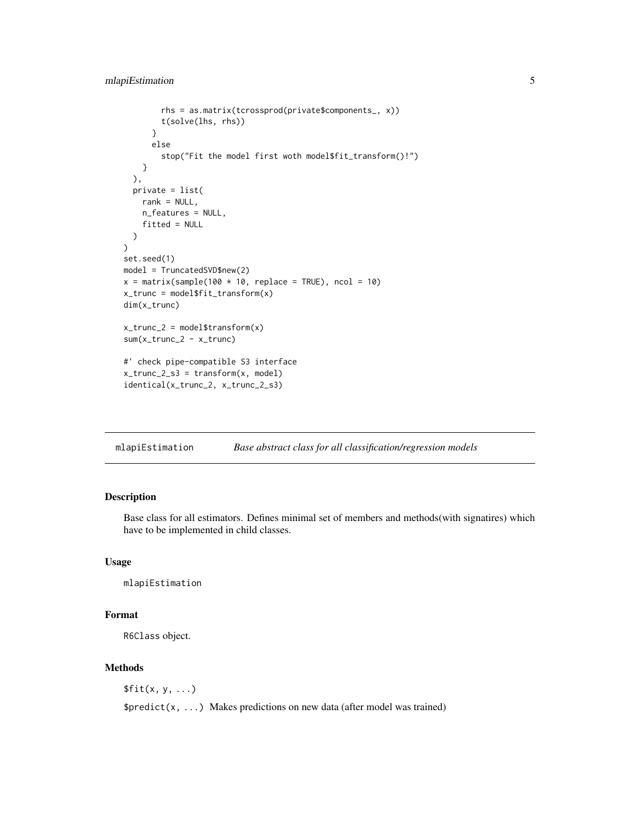```
rhs = as.matrix(tcrossprod(private$components_, x))
        t(solve(lhs, rhs))
      }
      else
        stop("Fit the model first woth model$fit_transform()!")
    }
  ),
  private = list(
    rank = NULL,n_features = NULL,
    fitted = NULL
  )
\mathcal{L}set.seed(1)
model = TruncatedSVD$new(2)
x = matrix(sample(100 * 10, replace = TRUE), ncol = 10)x_trunc = model$fit_transform(x)
dim(x_trunc)
x_ttrunc<sub>-2</sub> = model$transform(x)
sum(x_trunc_2 - x_trunc)
#' check pipe-compatible S3 interface
x_trunc<sub>-2-s3</sub> = transform(x, model)
identical(x_trunc_2, x_trunc_2_s3)
```
<span id="page-4-1"></span>mlapiEstimation *Base abstract class for all classification/regression models*

#### Description

Base class for all estimators. Defines minimal set of members and methods(with signatires) which have to be implemented in child classes.

#### Usage

mlapiEstimation

#### Format

R6Class object.

#### Methods

 $$fit(x, y, ...)$ 

 $$predict(x, ...)$  Makes predictions on new data (after model was trained)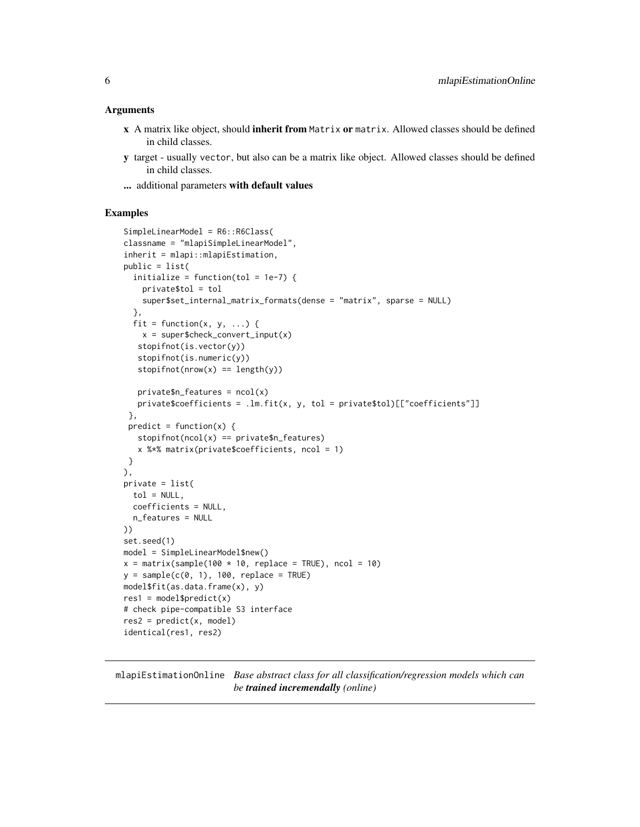#### <span id="page-5-0"></span>Arguments

- x A matrix like object, should inherit from Matrix or matrix. Allowed classes should be defined in child classes.
- y target usually vector, but also can be a matrix like object. Allowed classes should be defined in child classes.
- ... additional parameters with default values

#### Examples

```
SimpleLinearModel = R6::R6Class(
classname = "mlapiSimpleLinearModel",
inherit = mlapi::mlapiEstimation,
public = list(
 initialize = function(tol = 1e-7) {
   private$tol = tol
   super$set_internal_matrix_formats(dense = "matrix", sparse = NULL)
 },
 fit = function(x, y, ...) {
   x = super\stopifnot(is.vector(y))
   stopifnot(is.numeric(y))
   stopifnot(nrow(x) == length(y))private$n_features = ncol(x)
  private$coefficients = .lm.fit(x, y, tol = private$tol)[["coefficients"]]
},
predict = function(x) {
  stopifnot(ncol(x) == private\$n_features)x %*% matrix(private$coefficients, ncol = 1)
}
),
private = list(
 tol = NULL,coefficients = NULL,
 n_features = NULL
))
set.seed(1)
model = SimpleLinearModel$new()
x = matrix(sample(100 * 10, replace = TRUE), ncol = 10)y = sample(c(0, 1), 100, replace = TRUE)model$fit(as.data.frame(x), y)
res1 = model$predict(x)# check pipe-compatible S3 interface
res2 = predict(x, model)
identical(res1, res2)
```
mlapiEstimationOnline *Base abstract class for all classification/regression models which can be trained incremendally (online)*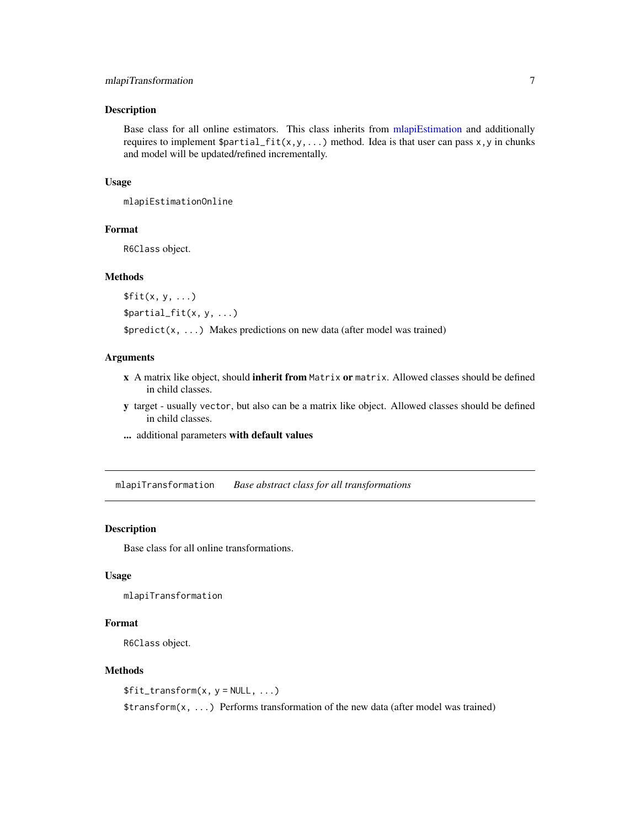#### <span id="page-6-0"></span>mlapiTransformation 7

#### Description

Base class for all online estimators. This class inherits from [mlapiEstimation](#page-4-1) and additionally requires to implement  $\text{spartial\_fit}(x,y,...)$  method. Idea is that user can pass x, y in chunks and model will be updated/refined incrementally.

#### Usage

mlapiEstimationOnline

#### Format

R6Class object.

#### Methods

 $$fit(x, y, ...)$ \$partial\_fit(x, y, ...)

\$predict(x, ...) Makes predictions on new data (after model was trained)

#### Arguments

- x A matrix like object, should inherit from Matrix or matrix. Allowed classes should be defined in child classes.
- y target usually vector, but also can be a matrix like object. Allowed classes should be defined in child classes.
- ... additional parameters with default values

<span id="page-6-1"></span>mlapiTransformation *Base abstract class for all transformations*

#### Description

Base class for all online transformations.

#### Usage

mlapiTransformation

#### Format

R6Class object.

#### Methods

 $$fit_transform(x, y = NULL, ...)$  $\frac{\pi}{3}$  transform $(x, \ldots)$  Performs transformation of the new data (after model was trained)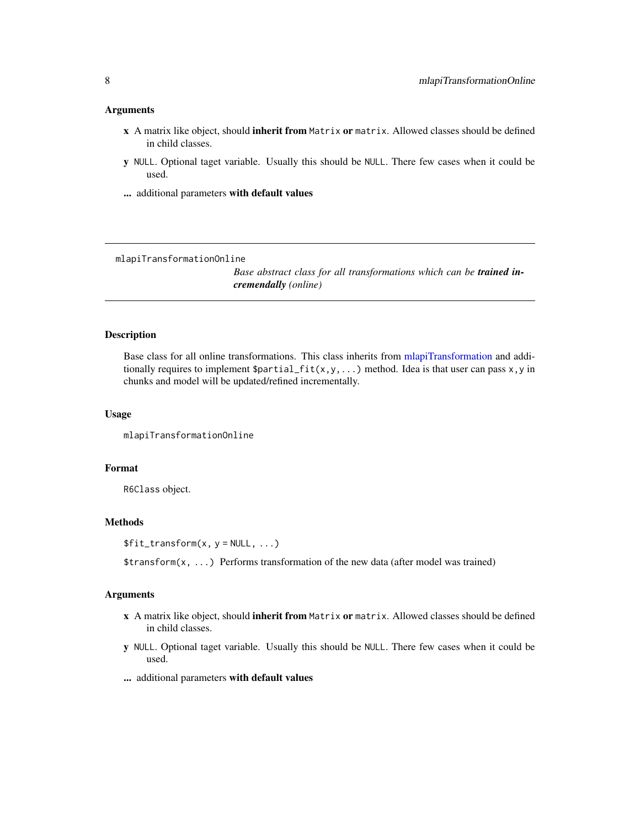#### <span id="page-7-0"></span>Arguments

- x A matrix like object, should inherit from Matrix or matrix. Allowed classes should be defined in child classes.
- y NULL. Optional taget variable. Usually this should be NULL. There few cases when it could be used.
- ... additional parameters with default values

mlapiTransformationOnline

*Base abstract class for all transformations which can be trained incremendally (online)*

#### Description

Base class for all online transformations. This class inherits from [mlapiTransformation](#page-6-1) and additionally requires to implement  $\text{Spartial}_f$ it(x,y,...) method. Idea is that user can pass x,y in chunks and model will be updated/refined incrementally.

#### Usage

mlapiTransformationOnline

#### Format

R6Class object.

#### Methods

 $$fit_transform(x, y = NULL, ...)$ 

\$transform(x, ...) Performs transformation of the new data (after model was trained)

#### Arguments

- x A matrix like object, should inherit from Matrix or matrix. Allowed classes should be defined in child classes.
- y NULL. Optional taget variable. Usually this should be NULL. There few cases when it could be used.
- ... additional parameters with default values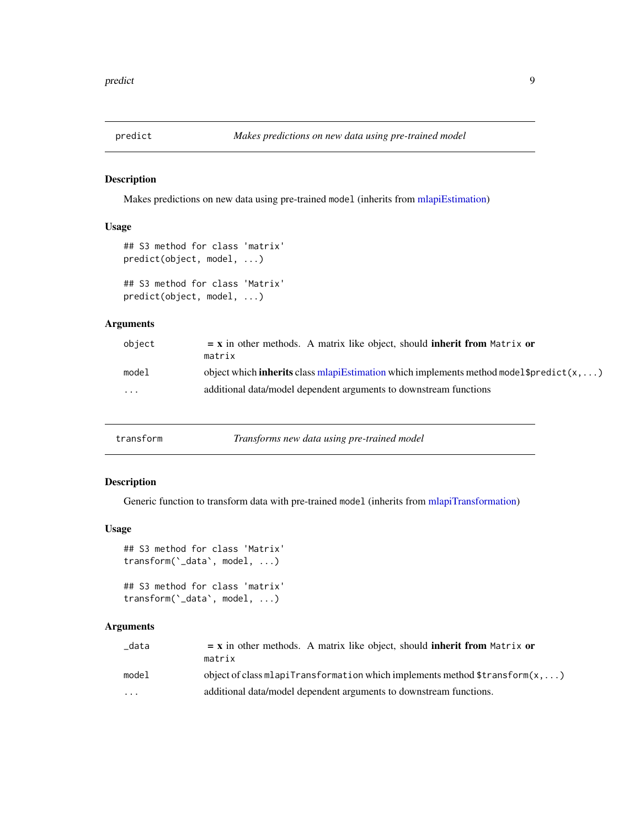<span id="page-8-0"></span>

#### Description

Makes predictions on new data using pre-trained model (inherits from [mlapiEstimation\)](#page-4-1)

#### Usage

```
## S3 method for class 'matrix'
predict(object, model, ...)
## S3 method for class 'Matrix'
predict(object, model, ...)
```
#### Arguments

| object                  | $=$ x in other methods. A matrix like object, should inherit from Matrix or                         |
|-------------------------|-----------------------------------------------------------------------------------------------------|
|                         | matrix                                                                                              |
| model                   | object which <b>inherits</b> class mlapiEstimation which implements method model \$predict( $x$ , ) |
| $\cdot$ $\cdot$ $\cdot$ | additional data/model dependent arguments to downstream functions                                   |

#### Description

Generic function to transform data with pre-trained model (inherits from [mlapiTransformation\)](#page-6-1)

#### Usage

```
## S3 method for class 'Matrix'
transform(`_data`, model, ...)
```

```
## S3 method for class 'matrix'
transform(`_data`, model, ...)
```
#### Arguments

| data  | $=$ x in other methods. A matrix like object, should <b>inherit from</b> Matrix or<br>matrix      |
|-------|---------------------------------------------------------------------------------------------------|
|       |                                                                                                   |
| model | object of class mlapiTransformation which implements method $\frac{1}{2}$ transform $(x, \ldots)$ |
| .     | additional data/model dependent arguments to downstream functions.                                |